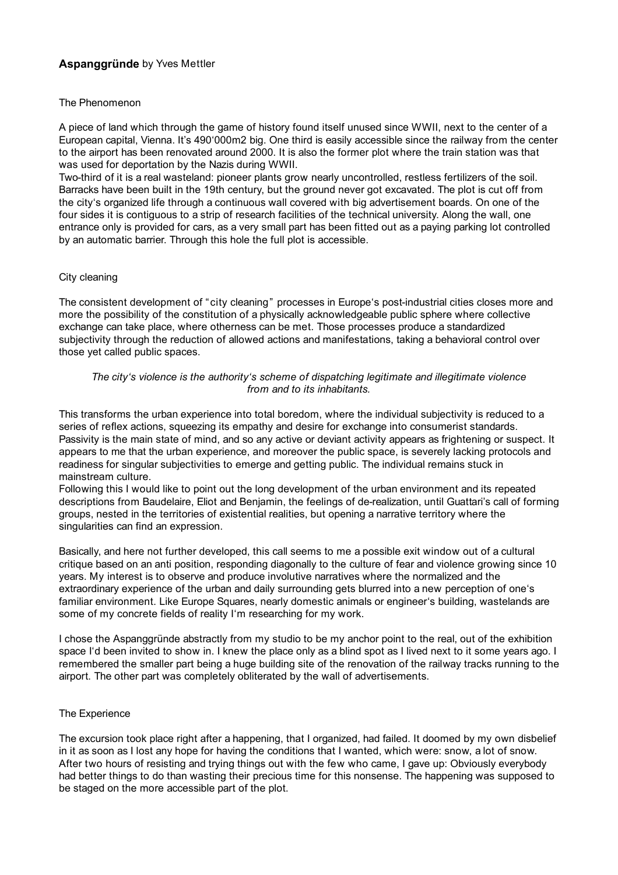# **Aspanggründe** by Yves Mettler

#### The Phenomenon

A piece of land which through the game of history found itself unused since WWII, next to the center of a European capital, Vienna. It's 490'000m2 big. One third is easily accessible since the railway from the center to the airport has been renovated around 2000. It is also the former plot where the train station was that was used for deportation by the Nazis during WWII.

Two-third of it is a real wasteland: pioneer plants grow nearly uncontrolled, restless fertilizers of the soil. Barracks have been built in the 19th century, but the ground never got excavated. The plot is cut off from the city's organized life through a continuous wall covered with big advertisement boards. On one of the four sides it is contiguous to a strip of research facilities of the technical university. Along the wall, one entrance only is provided for cars, as a very small part has been fitted out as a paying parking lot controlled by an automatic barrier. Through this hole the full plot is accessible.

#### City cleaning

The consistent development of "city cleaning" processes in Europe's post-industrial cities closes more and more the possibility of the constitution of a physically acknowledgeable public sphere where collective exchange can take place, where otherness can be met. Those processes produce a standardized subjectivity through the reduction of allowed actions and manifestations, taking a behavioral control over those yet called public spaces.

## *The city's violence is the authority's scheme of dispatching legitimate and illegitimate violence from and to its inhabitants.*

This transforms the urban experience into total boredom, where the individual subjectivity is reduced to a series of reflex actions, squeezing its empathy and desire for exchange into consumerist standards. Passivity is the main state of mind, and so any active or deviant activity appears as frightening or suspect. It appears to me that the urban experience, and moreover the public space, is severely lacking protocols and readiness for singular subjectivities to emerge and getting public. The individual remains stuck in mainstream culture.

Following this I would like to point out the long development of the urban environment and its repeated descriptions from Baudelaire, Eliot and Benjamin, the feelings of de-realization, until Guattari's call of forming groups, nested in the territories of existential realities, but opening a narrative territory where the singularities can find an expression.

Basically, and here not further developed, this call seems to me a possible exit window out of a cultural critique based on an anti position, responding diagonally to the culture of fear and violence growing since 10 years. My interest is to observe and produce involutive narratives where the normalized and the extraordinary experience of the urban and daily surrounding gets blurred into a new perception of one's familiar environment. Like Europe Squares, nearly domestic animals or engineer's building, wastelands are some of my concrete fields of reality I'm researching for my work.

I chose the Aspanggründe abstractly from my studio to be my anchor point to the real, out of the exhibition space I'd been invited to show in. I knew the place only as a blind spot as I lived next to it some years ago. I remembered the smaller part being a huge building site of the renovation of the railway tracks running to the airport. The other part was completely obliterated by the wall of advertisements.

## The Experience

The excursion took place right after a happening, that I organized, had failed. It doomed by my own disbelief in it as soon as I lost any hope for having the conditions that I wanted, which were: snow, a lot of snow. After two hours of resisting and trying things out with the few who came, I gave up: Obviously everybody had better things to do than wasting their precious time for this nonsense. The happening was supposed to be staged on the more accessible part of the plot.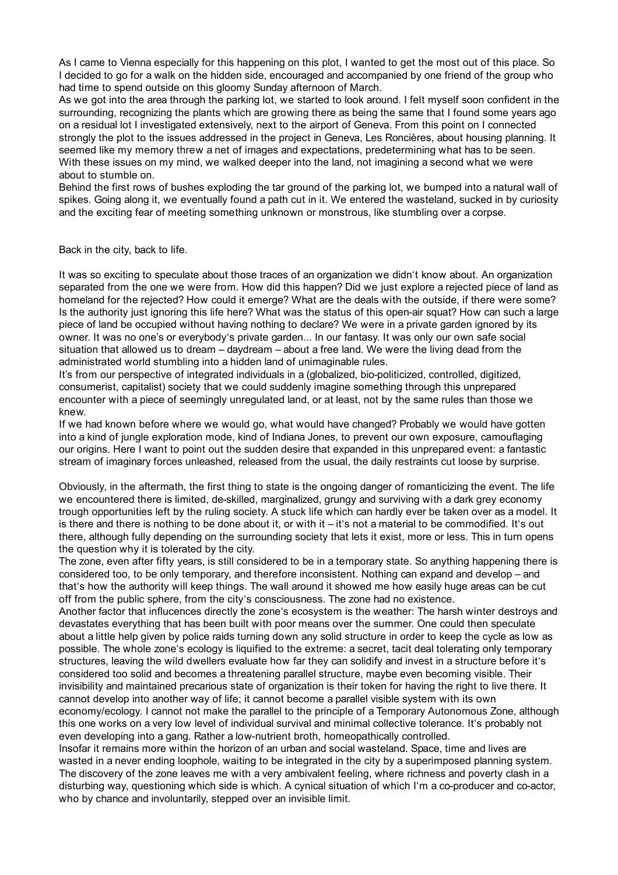As I came to Vienna especially for this happening on this plot, I wanted to get the most out of this place. So I decided to go for a walk on the hidden side, encouraged and accompanied by one friend of the group who had time to spend outside on this gloomy Sunday afternoon of March.

As we got into the area through the parking lot, we started to look around. I felt myself soon confident in the surrounding, recognizing the plants which are growing there as being the same that I found some years ago on a residual lot I investigated extensively, next to the airport of Geneva. From this point on I connected strongly the plot to the issues addressed in the project in Geneva, Les Roncières, about housing planning. It seemed like my memory threw a net of images and expectations, predetermining what has to be seen. With these issues on my mind, we walked deeper into the land, not imagining a second what we were about to stumble on.

Behind the first rows of bushes exploding the tar ground of the parking lot, we bumped into a natural wall of spikes. Going along it, we eventually found a path cut in it. We entered the wasteland, sucked in by curiosity and the exciting fear of meeting something unknown or monstrous, like stumbling over a corpse.

Back in the city, back to life.

It was so exciting to speculate about those traces of an organization we didn't know about. An organization separated from the one we were from. How did this happen? Did we just explore a rejected piece of land as homeland for the rejected? How could it emerge? What are the deals with the outside, if there were some? Is the authority just ignoring this life here? What was the status of this open-air squat? How can such a large piece of land be occupied without having nothing to declare? We were in a private garden ignored by its owner. It was no one's or everybody's private garden... In our fantasy. It was only our own safe social situation that allowed us to dream – daydream – about a free land. We were the living dead from the administrated world stumbling into a hidden land of unimaginable rules.

It's from our perspective of integrated individuals in a (globalized, bio-politicized, controlled, digitized, consumerist, capitalist) society that we could suddenly imagine something through this unprepared encounter with a piece of seemingly unregulated land, or at least, not by the same rules than those we knew.

If we had known before where we would go, what would have changed? Probably we would have gotten into a kind of jungle exploration mode, kind of Indiana Jones, to prevent our own exposure, camouflaging our origins. Here I want to point out the sudden desire that expanded in this unprepared event: a fantastic stream of imaginary forces unleashed, released from the usual, the daily restraints cut loose by surprise.

Obviously, in the aftermath, the first thing to state is the ongoing danger of romanticizing the event. The life we encountered there is limited, de-skilled, marginalized, grungy and surviving with a dark grey economy trough opportunities left by the ruling society. A stuck life which can hardly ever be taken over as a model. It is there and there is nothing to be done about it, or with it – it's not a material to be commodified. It's out there, although fully depending on the surrounding society that lets it exist, more or less. This in turn opens the question why it is tolerated by the city.

The zone, even after fifty years, is still considered to be in a temporary state. So anything happening there is considered too, to be only temporary, and therefore inconsistent. Nothing can expand and develop – and that's how the authority will keep things. The wall around it showed me how easily huge areas can be cut off from the public sphere, from the city's consciousness. The zone had no existence.

Another factor that influcences directly the zone's ecosystem is the weather: The harsh winter destroys and devastates everything that has been built with poor means over the summer. One could then speculate about a little help given by police raids turning down any solid structure in order to keep the cycle as low as possible. The whole zone's ecology is liquified to the extreme: a secret, tacit deal tolerating only temporary structures, leaving the wild dwellers evaluate how far they can solidify and invest in a structure before it's considered too solid and becomes a threatening parallel structure, maybe even becoming visible. Their invisibility and maintained precarious state of organization is their token for having the right to live there. It cannot develop into another way of life; it cannot become a parallel visible system with its own economy/ecology. I cannot not make the parallel to the principle of a Temporary Autonomous Zone, although this one works on a very low level of individual survival and minimal collective tolerance. It's probably not even developing into a gang. Rather a low-nutrient broth, homeopathically controlled.

Insofar it remains more within the horizon of an urban and social wasteland. Space, time and lives are wasted in a never ending loophole, waiting to be integrated in the city by a superimposed planning system. The discovery of the zone leaves me with a very ambivalent feeling, where richness and poverty clash in a disturbing way, questioning which side is which. A cynical situation of which I'm a co-producer and co-actor, who by chance and involuntarily, stepped over an invisible limit.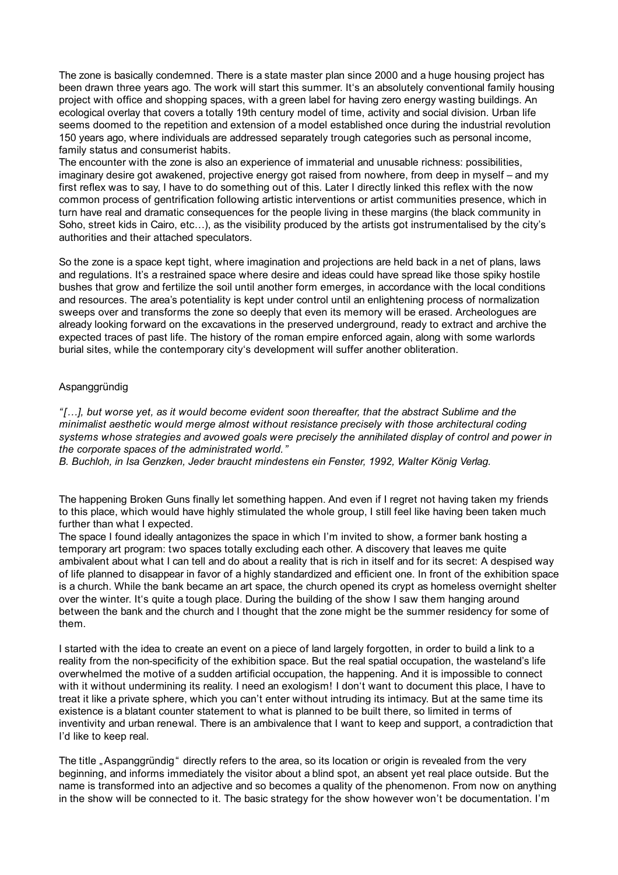The zone is basically condemned. There is a state master plan since 2000 and a huge housing project has been drawn three years ago. The work will start this summer. It's an absolutely conventional family housing project with office and shopping spaces, with a green label for having zero energy wasting buildings. An ecological overlay that covers a totally 19th century model of time, activity and social division. Urban life seems doomed to the repetition and extension of a model established once during the industrial revolution 150 years ago, where individuals are addressed separately trough categories such as personal income, family status and consumerist habits.

The encounter with the zone is also an experience of immaterial and unusable richness: possibilities, imaginary desire got awakened, projective energy got raised from nowhere, from deep in myself – and my first reflex was to say, I have to do something out of this. Later I directly linked this reflex with the now common process of gentrification following artistic interventions or artist communities presence, which in turn have real and dramatic consequences for the people living in these margins (the black community in Soho, street kids in Cairo, etc…), as the visibility produced by the artists got instrumentalised by the city's authorities and their attached speculators.

So the zone is a space kept tight, where imagination and projections are held back in a net of plans, laws and regulations. It's a restrained space where desire and ideas could have spread like those spiky hostile bushes that grow and fertilize the soil until another form emerges, in accordance with the local conditions and resources. The area's potentiality is kept under control until an enlightening process of normalization sweeps over and transforms the zone so deeply that even its memory will be erased. Archeologues are already looking forward on the excavations in the preserved underground, ready to extract and archive the expected traces of past life. The history of the roman empire enforced again, along with some warlords burial sites, while the contemporary city's development will suffer another obliteration.

## Aspanggründig

*"[…], but worse yet, as it would become evident soon thereafter, that the abstract Sublime and the minimalist aesthetic would merge almost without resistance precisely with those architectural coding systems whose strategies and avowed goals were precisely the annihilated display of control and power in the corporate spaces of the administrated world."* 

*B. Buchloh, in Isa Genzken, Jeder braucht mindestens ein Fenster, 1992, Walter König Verlag.*

The happening Broken Guns finally let something happen. And even if I regret not having taken my friends to this place, which would have highly stimulated the whole group, I still feel like having been taken much further than what I expected.

The space I found ideally antagonizes the space in which I'm invited to show, a former bank hosting a temporary art program: two spaces totally excluding each other. A discovery that leaves me quite ambivalent about what I can tell and do about a reality that is rich in itself and for its secret: A despised way of life planned to disappear in favor of a highly standardized and efficient one. In front of the exhibition space is a church. While the bank became an art space, the church opened its crypt as homeless overnight shelter over the winter. It's quite a tough place. During the building of the show I saw them hanging around between the bank and the church and I thought that the zone might be the summer residency for some of them.

I started with the idea to create an event on a piece of land largely forgotten, in order to build a link to a reality from the non-specificity of the exhibition space. But the real spatial occupation, the wasteland's life overwhelmed the motive of a sudden artificial occupation, the happening. And it is impossible to connect with it without undermining its reality. I need an exologism! I don't want to document this place, I have to treat it like a private sphere, which you can't enter without intruding its intimacy. But at the same time its existence is a blatant counter statement to what is planned to be built there, so limited in terms of inventivity and urban renewal. There is an ambivalence that I want to keep and support, a contradiction that I'd like to keep real.

The title . Aspanggründig " directly refers to the area, so its location or origin is revealed from the very beginning, and informs immediately the visitor about a blind spot, an absent yet real place outside. But the name is transformed into an adjective and so becomes a quality of the phenomenon. From now on anything in the show will be connected to it. The basic strategy for the show however won't be documentation. I'm